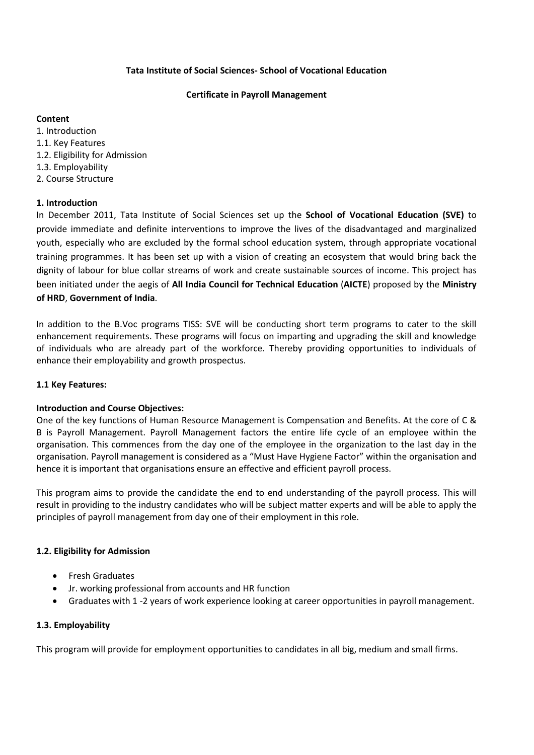# **Tata Institute of Social Sciences- School of Vocational Education**

#### **Certificate in Payroll Management**

# **Content**

1. Introduction 1.1. Key Features 1.2. Eligibility for Admission 1.3. Employability 2. Course Structure

# **1. Introduction**

In December 2011, Tata Institute of Social Sciences set up the **School of Vocational Education (SVE)** to provide immediate and definite interventions to improve the lives of the disadvantaged and marginalized youth, especially who are excluded by the formal school education system, through appropriate vocational training programmes. It has been set up with a vision of creating an ecosystem that would bring back the dignity of labour for blue collar streams of work and create sustainable sources of income. This project has been initiated under the aegis of **All India Council for Technical Education** (**AICTE**) proposed by the **Ministry of HRD**, **Government of India**.

In addition to the B.Voc programs TISS: SVE will be conducting short term programs to cater to the skill enhancement requirements. These programs will focus on imparting and upgrading the skill and knowledge of individuals who are already part of the workforce. Thereby providing opportunities to individuals of enhance their employability and growth prospectus.

#### **1.1 Key Features:**

#### **Introduction and Course Objectives:**

One of the key functions of Human Resource Management is Compensation and Benefits. At the core of C & B is Payroll Management. Payroll Management factors the entire life cycle of an employee within the organisation. This commences from the day one of the employee in the organization to the last day in the organisation. Payroll management is considered as a "Must Have Hygiene Factor" within the organisation and hence it is important that organisations ensure an effective and efficient payroll process.

This program aims to provide the candidate the end to end understanding of the payroll process. This will result in providing to the industry candidates who will be subject matter experts and will be able to apply the principles of payroll management from day one of their employment in this role.

# **1.2. Eligibility for Admission**

- **•** Fresh Graduates
- Jr. working professional from accounts and HR function
- Graduates with 1 -2 years of work experience looking at career opportunities in payroll management.

# **1.3. Employability**

This program will provide for employment opportunities to candidates in all big, medium and small firms.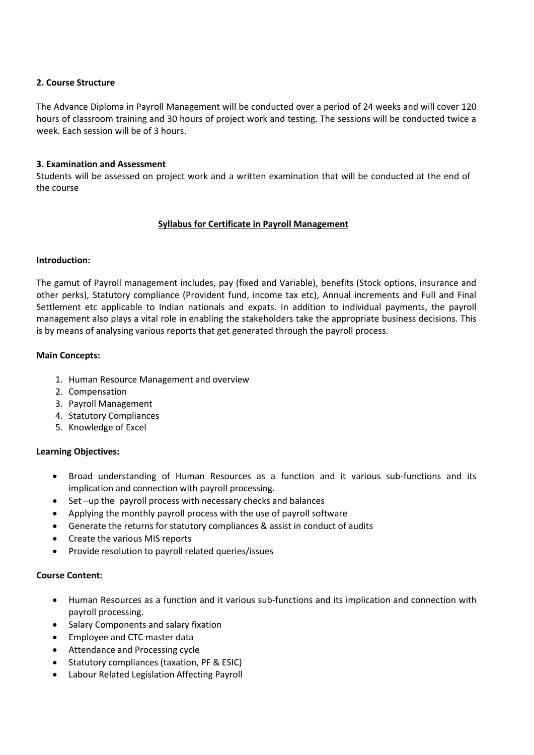### **2. Course Structure**

The Advance Diploma in Payroll Management will be conducted over a period of 24 weeks and will cover 120 hours of classroom training and 30 hours of project work and testing. The sessions will be conducted twice a week. Each session will be of 3 hours.

# **3. Examination and Assessment**

Students will be assessed on project work and a written examination that will be conducted at the end of the course

# **Syllabus for Certificate in Payroll Management**

# **Introduction:**

The gamut of Payroll management includes, pay (fixed and Variable), benefits (Stock options, insurance and other perks), Statutory compliance (Provident fund, income tax etc), Annual increments and Full and Final Settlement etc applicable to Indian nationals and expats. In addition to individual payments, the payroll management also plays a vital role in enabling the stakeholders take the appropriate business decisions. This is by means of analysing various reports that get generated through the payroll process.

# **Main Concepts:**

- 1. Human Resource Management and overview
- 2. Compensation
- 3. Payroll Management
- 4. Statutory Compliances
- 5. Knowledge of Excel

#### **Learning Objectives:**

- Broad understanding of Human Resources as a function and it various sub-functions and its implication and connection with payroll processing.
- Set –up the payroll process with necessary checks and balances
- Applying the monthly payroll process with the use of payroll software
- Generate the returns for statutory compliances & assist in conduct of audits
- Create the various MIS reports
- Provide resolution to payroll related queries/issues

### **Course Content:**

- Human Resources as a function and it various sub-functions and its implication and connection with payroll processing.
- Salary Components and salary fixation
- Employee and CTC master data
- Attendance and Processing cycle
- Statutory compliances (taxation, PF & ESIC)
- Labour Related Legislation Affecting Payroll